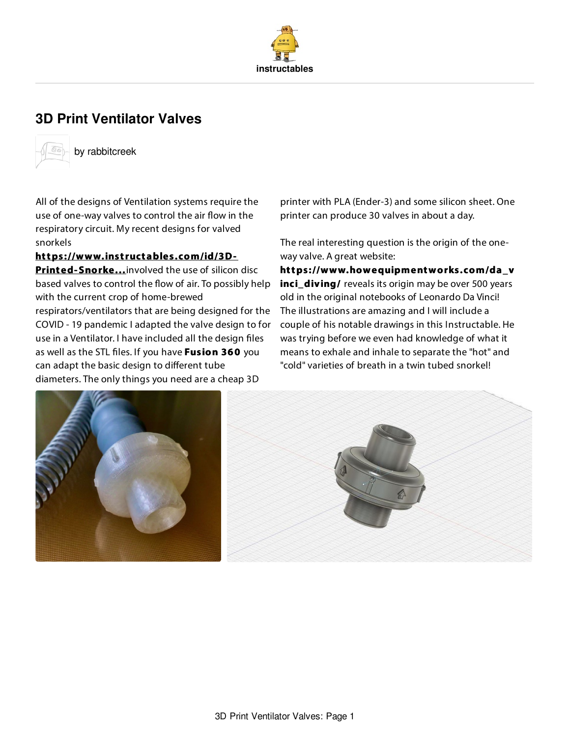

# **3D Print [Ventilator](http://www.instructables.com/id/3D-Print-Ventilator-Valves/) Valves**



by [rabbitcreek](http://www.instructables.com/member/rabbitcreek/)

All of the designs of Ventilation systems require the use of one-way valves to control the air flow in the respiratory circuit. My recent designs for valved snorkels

#### **https ://www.ins truct ables [.com/id/3D-](https://www.instructables.com/id/3D-Printed-Snorkel/)**

**Printed-Snorke...** involved the use of silicon disc based valves to control the flow of air. To possibly help with the current crop of home-brewed respirators/ventilators that are being designed for the COVID - 19 pandemic I adapted the valve design to for use in a Ventilator. I have included all the design files as well as the STL files. If you have Fusion 360 you can adapt the basic design to different tube diameters. The only things you need are a cheap 3D

printer with PLA (Ender-3) and some silicon sheet. One printer can produce 30 valves in about a day.

The real interesting question is the origin of the oneway valve. A great website:

**https ://www.howequipmentworks .com/da\_v inci\_diving/** reveals its origin may be over 500 years old in the original notebooks of Leonardo Da Vinci! The illustrations are amazing and I will include a couple of his notable drawings in this Instructable. He was trying before we even had knowledge of what it means to exhale and inhale to separate the "hot" and "cold" varieties of breath in a twin tubed snorkel!

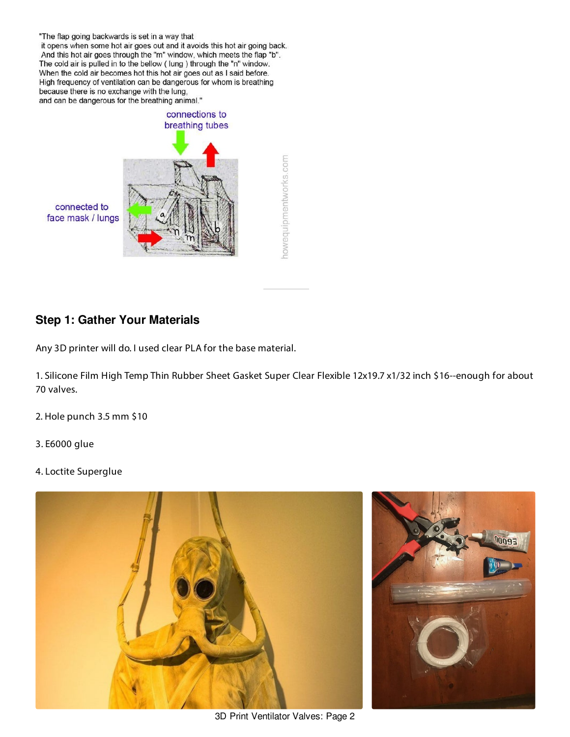"The flap going backwards is set in a way that it opens when some hot air goes out and it avoids this hot air going back. And this hot air goes through the "m" window, which meets the flap "b". The cold air is pulled in to the bellow (lung) through the "n" window. When the cold air becomes hot this hot air goes out as I said before. High frequency of ventilation can be dangerous for whom is breathing because there is no exchange with the lung, and can be dangerous for the breathing animal."



## **Step 1: Gather Your Materials**

Any 3D printer will do. I used clear PLA for the base material.

1. Silicone Film High Temp Thin Rubber Sheet Gasket Super Clear Flexible 12x19.7 x1/32 inch \$16--enough for about 70 valves.

2. Hole punch 3.5 mm \$10

3. E6000 glue

#### 4. Loctite Superglue



3D Print Ventilator Valves: Page 2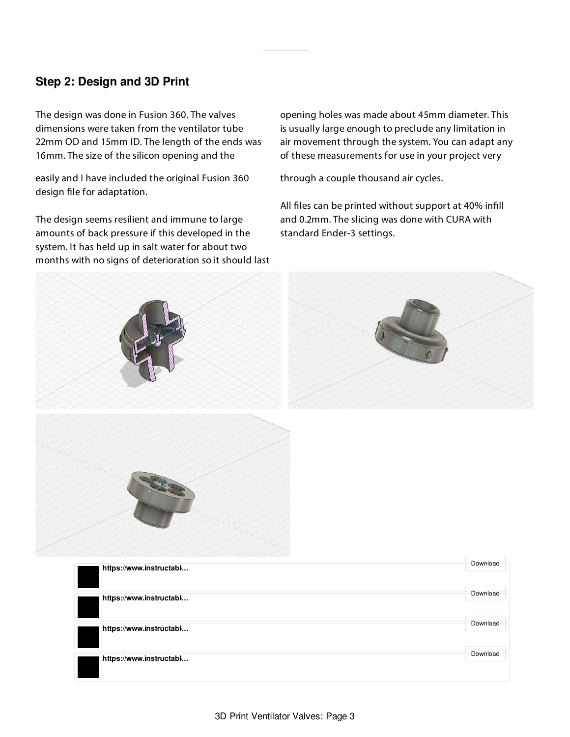## **Step 2: Design and 3D Print**

The design was done in Fusion 360. The valves dimensions were taken from the ventilator tube 22mm OD and 15mm ID. The length of the ends was 16mm. The size of the silicon opening and the

easily and I have included the original Fusion 360 design file for adaptation.

The design seems resilient and immune to large amounts of back pressure if this developed in the system. It has held up in salt water for about two months with no signs of deterioration so it should last opening holes was made about 45mm diameter. This is usually large enough to preclude any limitation in air movement through the system. You can adapt any of these measurements for use in your project very

through a couple thousand air cycles.

All files can be printed without support at 40% infill and 0.2mm. The slicing was done with CURA with standard Ender-3 settings.

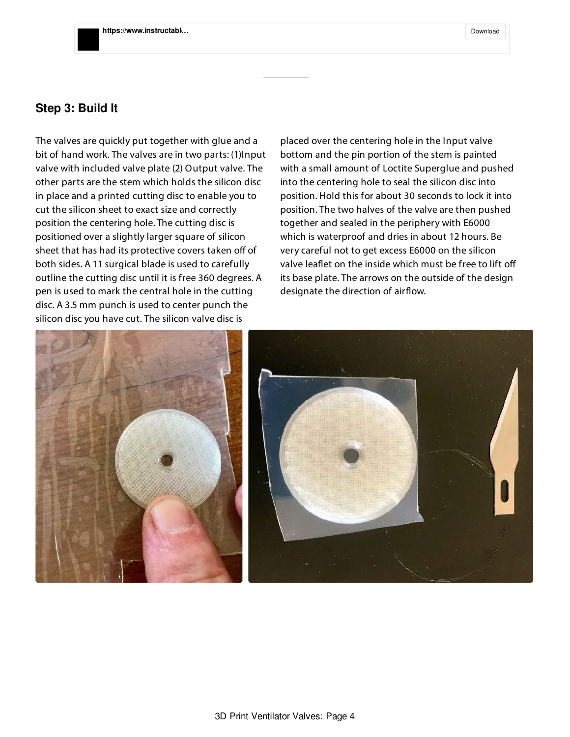### **Step 3: Build It**

The valves are quickly put together with glue and a bit of hand work. The valves are in two parts: (1)Input valve with included valve plate (2) Output valve. The other parts are the stem which holds the silicon disc in place and a printed cutting disc to enable you to cut the silicon sheet to exact size and correctly position the centering hole. The cutting disc is positioned over a slightly larger square of silicon sheet that has had its protective covers taken off of both sides. A 11 surgical blade is used to carefully outline the cutting disc until it is free 360 degrees. A pen is used to mark the central hole in the cutting disc. A 3.5 mm punch is used to center punch the silicon disc you have cut. The silicon valve disc is

placed over the centering hole in the Input valve bottom and the pin portion of the stem is painted with a small amount of Loctite Superglue and pushed into the centering hole to seal the silicon disc into position. Hold this for about 30 seconds to lock it into position. The two halves of the valve are then pushed together and sealed in the periphery with E6000 which is waterproof and dries in about 12 hours. Be very careful not to get excess E6000 on the silicon valve leaflet on the inside which must be free to lift off its base plate. The arrows on the outside of the design designate the direction of airflow.

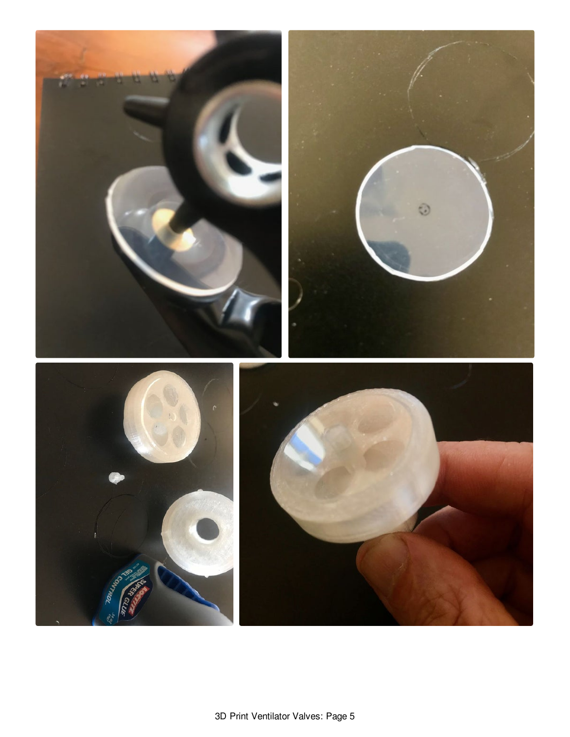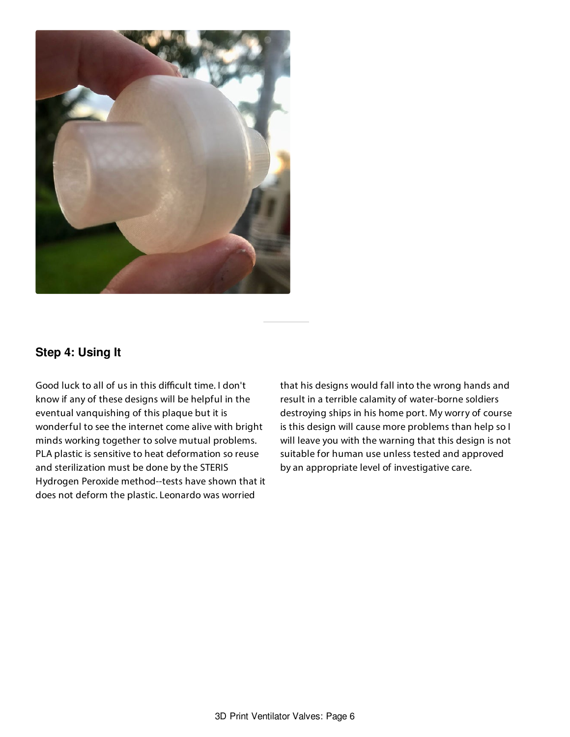

## **Step 4: Using It**

Good luck to all of us in this difficult time. I don't know if any of these designs will be helpful in the eventual vanquishing of this plaque but it is wonderful to see the internet come alive with bright minds working together to solve mutual problems. PLA plastic is sensitive to heat deformation so reuse and sterilization must be done by the STERIS Hydrogen Peroxide method--tests have shown that it does not deform the plastic. Leonardo was worried

that his designs would fall into the wrong hands and result in a terrible calamity of water-borne soldiers destroying ships in his home port. My worry of course is this design will cause more problems than help so I will leave you with the warning that this design is not suitable for human use unless tested and approved by an appropriate level of investigative care.